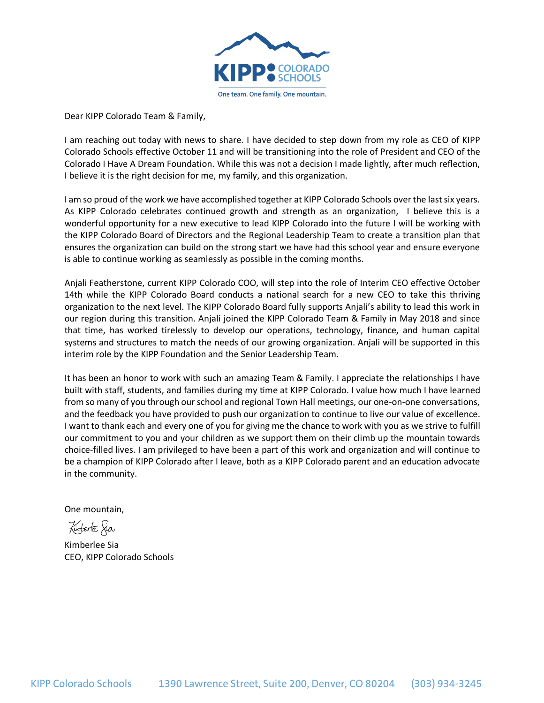

Dear KIPP Colorado Team & Family,

I am reaching out today with news to share. I have decided to step down from my role as CEO of KIPP Colorado Schools effective October 11 and will be transitioning into the role of President and CEO of the Colorado I Have A Dream Foundation. While this was not a decision I made lightly, after much reflection, I believe it is the right decision for me, my family, and this organization.

I am so proud of the work we have accomplished together at KIPP Colorado Schools over the last six years. As KIPP Colorado celebrates continued growth and strength as an organization, I believe this is a wonderful opportunity for a new executive to lead KIPP Colorado into the future I will be working with the KIPP Colorado Board of Directors and the Regional Leadership Team to create a transition plan that ensures the organization can build on the strong start we have had this school year and ensure everyone is able to continue working as seamlessly as possible in the coming months.

Anjali Featherstone, current KIPP Colorado COO, will step into the role of Interim CEO effective October 14th while the KIPP Colorado Board conducts a national search for a new CEO to take this thriving organization to the next level. The KIPP Colorado Board fully supports Anjali's ability to lead this work in our region during this transition. Anjali joined the KIPP Colorado Team & Family in May 2018 and since that time, has worked tirelessly to develop our operations, technology, finance, and human capital systems and structures to match the needs of our growing organization. Anjali will be supported in this interim role by the KIPP Foundation and the Senior Leadership Team.

It has been an honor to work with such an amazing Team & Family. I appreciate the relationships I have built with staff, students, and families during my time at KIPP Colorado. I value how much I have learned from so many of you through our school and regional Town Hall meetings, our one-on-one conversations, and the feedback you have provided to push our organization to continue to live our value of excellence. I want to thank each and every one of you for giving me the chance to work with you as we strive to fulfill our commitment to you and your children as we support them on their climb up the mountain towards choice-filled lives. I am privileged to have been a part of this work and organization and will continue to be a champion of KIPP Colorado after I leave, both as a KIPP Colorado parent and an education advocate in the community.

One mountain,

Kinterle Sia

Kimberlee Sia CEO, KIPP Colorado Schools